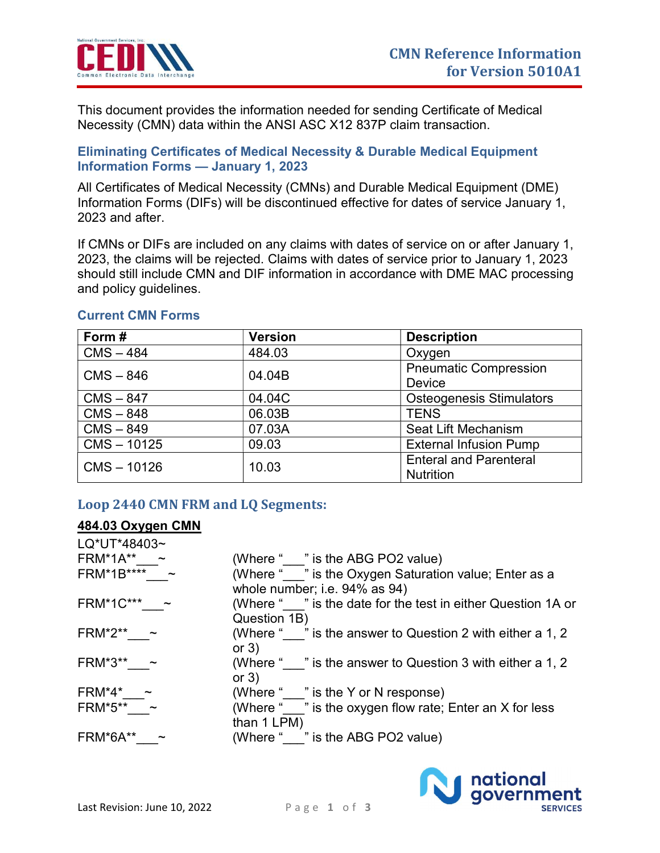

 This document provides the information needed for sending Certificate of Medical Necessity (CMN) data within the ANSI ASC X12 837P claim transaction.

## Eliminating Certificates of Medical Necessity & Durable Medical Equipment Information Forms — January 1, 2023

 All Certificates of Medical Necessity (CMNs) and Durable Medical Equipment (DME) Information Forms (DIFs) will be discontinued effective for dates of service January 1, 2023 and after.

 If CMNs or DIFs are included on any claims with dates of service on or after January 1, 2023, the claims will be rejected. Claims with dates of service prior to January 1, 2023 should still include CMN and DIF information in accordance with DME MAC processing and policy guidelines.

| Form#         | <b>Version</b> | <b>Description</b>                                |
|---------------|----------------|---------------------------------------------------|
| $CMS - 484$   | 484.03         | Oxygen                                            |
| $CMS - 846$   | 04.04B         | <b>Pneumatic Compression</b><br>Device            |
| $CMS - 847$   | 04.04C         | <b>Osteogenesis Stimulators</b>                   |
| $CMS - 848$   | 06.03B         | <b>TENS</b>                                       |
| $CMS - 849$   | 07.03A         | <b>Seat Lift Mechanism</b>                        |
| $CMS - 10125$ | 09.03          | <b>External Infusion Pump</b>                     |
| $CMS - 10126$ | 10.03          | <b>Enteral and Parenteral</b><br><b>Nutrition</b> |

## Current CMN Forms

# Loop 2440 CMN FRM and LQ Segments:

### 484.03 Oxygen CMN

| (Where " " is the ABG PO2 value)                            |
|-------------------------------------------------------------|
| (Where " " is the Oxygen Saturation value; Enter as a       |
| whole number; i.e. 94% as 94)                               |
| (Where "" is the date for the test in either Question 1A or |
| Question 1B)                                                |
| (Where " " is the answer to Question 2 with either a 1, 2   |
| or $3)$                                                     |
| (Where " " is the answer to Question 3 with either a 1, 2   |
| or $3)$                                                     |
| (Where " " is the Y or N response)                          |
| (Where "" is the oxygen flow rate; Enter an X for less      |
| than 1 LPM)                                                 |
| (Where " " is the ABG PO2 value)                            |
|                                                             |

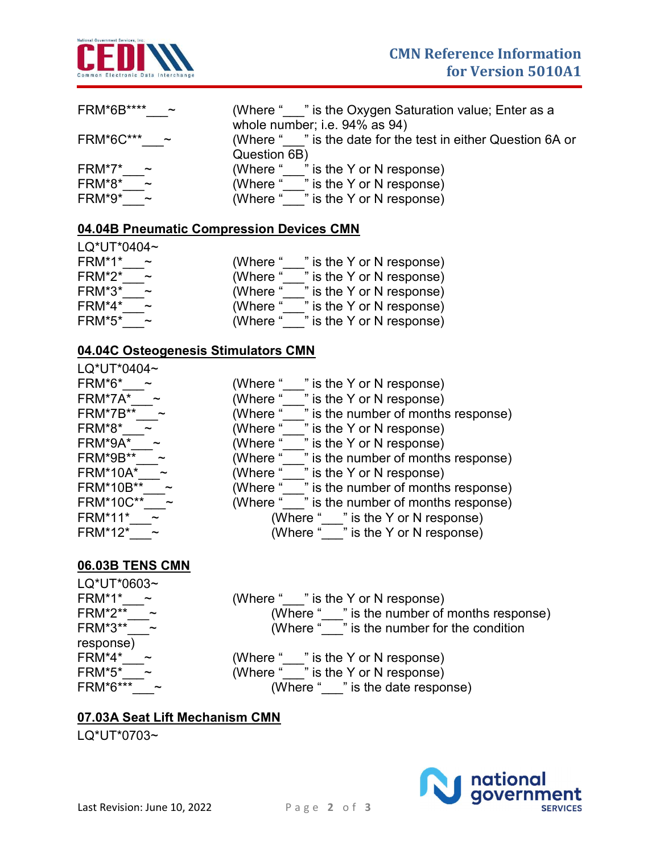

| FRM*6B****            | (Where "" is the Oxygen Saturation value; Enter as a        |
|-----------------------|-------------------------------------------------------------|
| $\sim$                | whole number; i.e. 94% as 94)                               |
| <b>FRM*6C***</b>      | (Where "" is the date for the test in either Question 6A or |
| $\tilde{\phantom{a}}$ | Question 6B)                                                |
| FRM*7*                | " is the Y or N response)                                   |
| $\sim$                | (Where "                                                    |
| FRM*8*<br>$\sim$      | (Where " " is the Y or N response)                          |
| FRM*9*                | " is the Y or N response)                                   |
| $\sim$                | (Where "                                                    |

#### 04.04B Pneumatic Compression Devices CMN

| LQ*UT*0404~           |                           |
|-----------------------|---------------------------|
| FRM*1*                | " is the Y or N response) |
| $\tilde{\phantom{a}}$ | (Where "                  |
| FRM*2*                | " is the Y or N response) |
| $\tilde{\phantom{a}}$ | (Where "                  |
| FRM*3*                | " is the Y or N response) |
| $\tilde{\phantom{a}}$ | (Where "                  |
| FRM*4*                | " is the Y or N response) |
| $\tilde{\phantom{a}}$ | (Where "                  |
| FRM*5*                | " is the Y or N response) |
| $\sim$                | (Where "                  |

### 04.04C Osteogenesis Stimulators CMN

| LQ*UT*0404~                        |                                                 |
|------------------------------------|-------------------------------------------------|
| FRM*6*                             | (Where "<br>" is the Y or N response)           |
| FRM*7A*                            | (Where "<br>" is the Y or N response)           |
| <b>FRM*7B**</b>                    | (Where "<br>" is the number of months response) |
| FRM*8*                             | (Where "<br>" is the Y or N response)           |
| FRM*9A*                            | (Where "<br>" is the Y or N response)           |
| FRM*9B**                           | (Where "<br>" is the number of months response) |
| <b>FRM*10A*</b>                    | (Where "<br>" is the Y or N response)           |
| FRM*10B**<br>$\tilde{\phantom{a}}$ | " is the number of months response)<br>(Where " |
| <b>FRM*10C**</b>                   | (Where "<br>" is the number of months response) |
| <b>FRM*11*</b>                     | (Where " " is the Y or N response)              |
| <b>FRM*12*</b>                     | (Where " " is the Y or N response)              |
|                                    |                                                 |

## <u>06.03B TENS CMN</u>

| LQ*UT*0603~                       |                                              |
|-----------------------------------|----------------------------------------------|
| FRM*1*<br>$\sim$                  | (Where "___" is the Y or N response)         |
| <b>FRM*2**</b><br>$\sim$          | (Where " " is the number of months response) |
| FRM*3**<br>$\sim$                 | (Where "" is the number for the condition    |
| response)                         |                                              |
| FRM*4*                            | (Where " " is the Y or N response)           |
| FRM*5*                            | (Where "___" is the Y or N response)         |
| FRM*6***<br>$\tilde{\phantom{a}}$ | (Where "" is the date response)              |
|                                   |                                              |

### 07.03A Seat Lift Mechanism CMN

LQ\*UT\*0703~